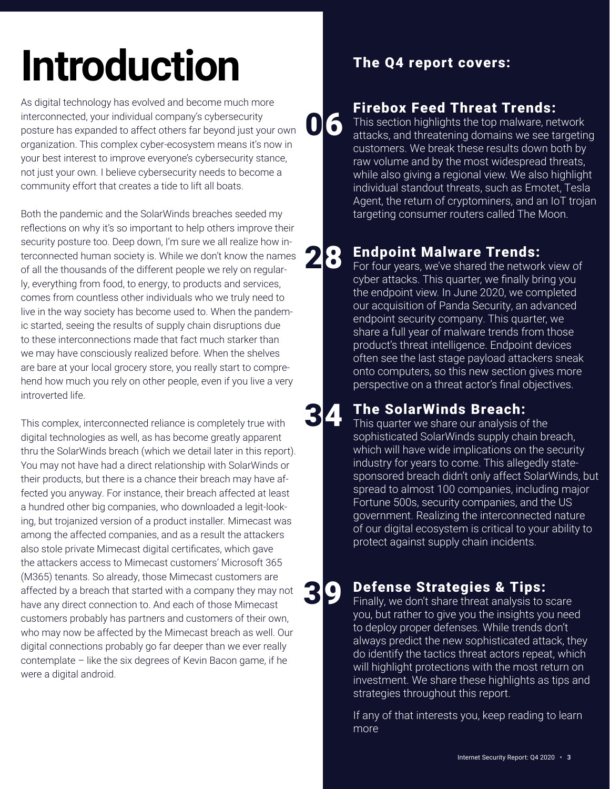# Introduction The Q4 report covers:

As digital technology has evolved and become much more interconnected, your individual company's cybersecurity posture has expanded to affect others far beyond just your own organization. This complex cyber-ecosystem means it's now in your best interest to improve everyone's cybersecurity stance, not just your own. I believe cybersecurity needs to become a community effort that creates a tide to lift all boats.

Both the pandemic and the SolarWinds breaches seeded my reflections on why it's so important to help others improve their security posture too. Deep down, I'm sure we all realize how interconnected human society is. While we don't know the names of all the thousands of the different people we rely on regularly, everything from food, to energy, to products and services, comes from countless other individuals who we truly need to live in the way society has become used to. When the pandemic started, seeing the results of supply chain disruptions due to these interconnections made that fact much starker than we may have consciously realized before. When the shelves are bare at your local grocery store, you really start to comprehend how much you rely on other people, even if you live a very introverted life.

This complex, interconnected reliance is completely true with digital technologies as well, as has become greatly apparent thru the SolarWinds breach (which we detail later in this report). You may not have had a direct relationship with SolarWinds or their products, but there is a chance their breach may have affected you anyway. For instance, their breach affected at least a hundred other big companies, who downloaded a legit-looking, but trojanized version of a product installer. Mimecast was among the affected companies, and as a result the attackers also stole private Mimecast digital certificates, which gave the attackers access to Mimecast customers' Microsoft 365 (M365) tenants. So already, those Mimecast customers are affected by a breach that started with a company they may not have any direct connection to. And each of those Mimecast customers probably has partners and customers of their own, who may now be affected by the Mimecast breach as well. Our digital connections probably go far deeper than we ever really contemplate – like the six degrees of Kevin Bacon game, if he were a digital android.

06

34

# Firebox Feed Threat Trends:

This section highlights the top malware, network attacks, and threatening domains we see targeting customers. We break these results down both by raw volume and by the most widespread threats, while also giving a regional view. We also highlight individual standout threats, such as Emotet, Tesla Agent, the return of cryptominers, and an IoT trojan targeting consumer routers called The Moon.

### Endpoint Malware Trends: 28

For four years, we've shared the network view of cyber attacks. This quarter, we finally bring you the endpoint view. In June 2020, we completed our acquisition of Panda Security, an advanced endpoint security company. This quarter, we share a full year of malware trends from those product's threat intelligence. Endpoint devices often see the last stage payload attackers sneak onto computers, so this new section gives more perspective on a threat actor's final objectives.

## The SolarWinds Breach:

This quarter we share our analysis of the sophisticated SolarWinds supply chain breach, which will have wide implications on the security industry for years to come. This allegedly statesponsored breach didn't only affect SolarWinds, but spread to almost 100 companies, including major Fortune 500s, security companies, and the US government. Realizing the interconnected nature of our digital ecosystem is critical to your ability to protect against supply chain incidents.

### Defense Strategies & Tips: 39

Finally, we don't share threat analysis to scare you, but rather to give you the insights you need to deploy proper defenses. While trends don't always predict the new sophisticated attack, they do identify the tactics threat actors repeat, which will highlight protections with the most return on investment. We share these highlights as tips and strategies throughout this report.

If any of that interests you, keep reading to learn more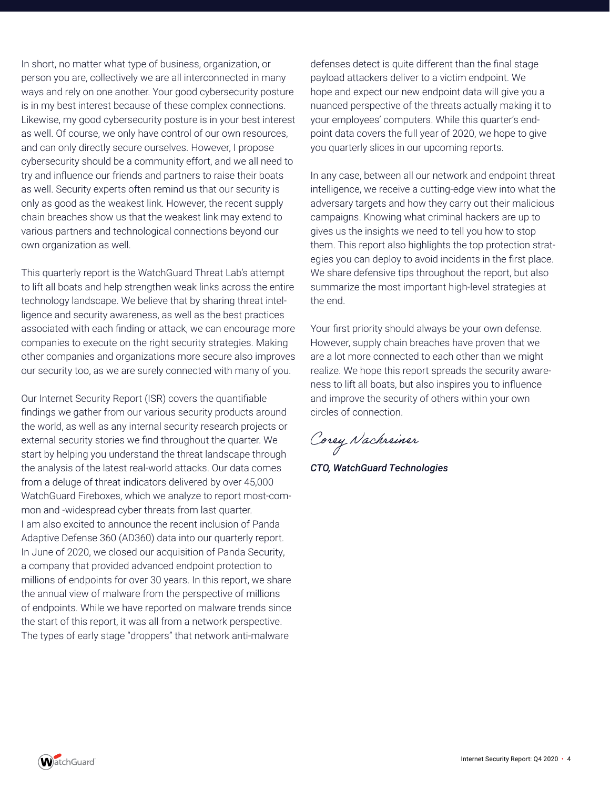In short, no matter what type of business, organization, or person you are, collectively we are all interconnected in many ways and rely on one another. Your good cybersecurity posture is in my best interest because of these complex connections. Likewise, my good cybersecurity posture is in your best interest as well. Of course, we only have control of our own resources, and can only directly secure ourselves. However, I propose cybersecurity should be a community effort, and we all need to try and influence our friends and partners to raise their boats as well. Security experts often remind us that our security is only as good as the weakest link. However, the recent supply chain breaches show us that the weakest link may extend to various partners and technological connections beyond our own organization as well.

This quarterly report is the WatchGuard Threat Lab's attempt to lift all boats and help strengthen weak links across the entire technology landscape. We believe that by sharing threat intelligence and security awareness, as well as the best practices associated with each finding or attack, we can encourage more companies to execute on the right security strategies. Making other companies and organizations more secure also improves our security too, as we are surely connected with many of you.

Our Internet Security Report (ISR) covers the quantifiable findings we gather from our various security products around the world, as well as any internal security research projects or external security stories we find throughout the quarter. We start by helping you understand the threat landscape through the analysis of the latest real-world attacks. Our data comes from a deluge of threat indicators delivered by over 45,000 WatchGuard Fireboxes, which we analyze to report most-common and -widespread cyber threats from last quarter. I am also excited to announce the recent inclusion of Panda Adaptive Defense 360 (AD360) data into our quarterly report. In June of 2020, we closed our acquisition of Panda Security, a company that provided advanced endpoint protection to millions of endpoints for over 30 years. In this report, we share the annual view of malware from the perspective of millions of endpoints. While we have reported on malware trends since the start of this report, it was all from a network perspective. The types of early stage "droppers" that network anti-malware

defenses detect is quite different than the final stage payload attackers deliver to a victim endpoint. We hope and expect our new endpoint data will give you a nuanced perspective of the threats actually making it to your employees' computers. While this quarter's endpoint data covers the full year of 2020, we hope to give you quarterly slices in our upcoming reports.

In any case, between all our network and endpoint threat intelligence, we receive a cutting-edge view into what the adversary targets and how they carry out their malicious campaigns. Knowing what criminal hackers are up to gives us the insights we need to tell you how to stop them. This report also highlights the top protection strategies you can deploy to avoid incidents in the first place. We share defensive tips throughout the report, but also summarize the most important high-level strategies at the end.

Your first priority should always be your own defense. However, supply chain breaches have proven that we are a lot more connected to each other than we might realize. We hope this report spreads the security awareness to lift all boats, but also inspires you to influence and improve the security of others within your own circles of connection.

Corey Nachreiner

*CTO, WatchGuard Technologies*